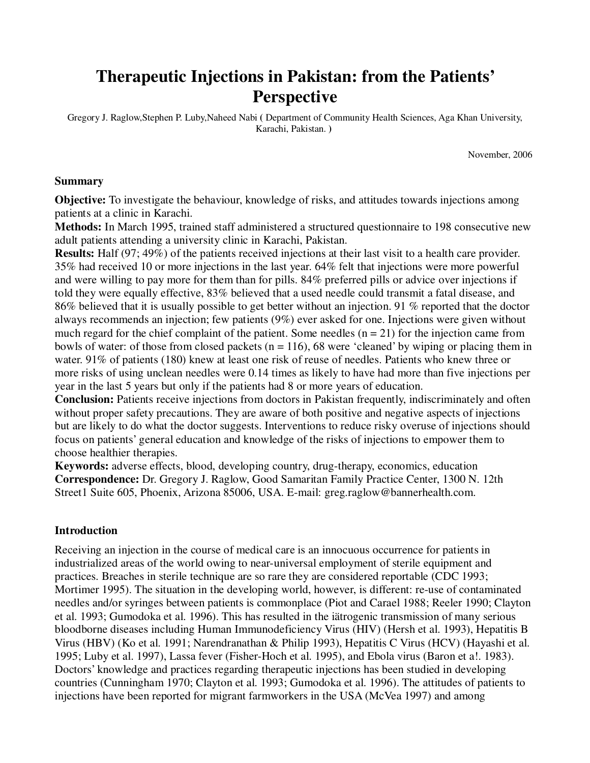# **Therapeutic Injections in Pakistan: from the Patients' Perspective**

Gregory J. Raglow,Stephen P. Luby,Naheed Nabi **(** Department of Community Health Sciences, Aga Khan University, Karachi, Pakistan. **)** 

November, 2006

#### **Summary**

**Objective:** To investigate the behaviour, knowledge of risks, and attitudes towards injections among patients at a clinic in Karachi.

**Methods:** In March 1995, trained staff administered a structured questionnaire to 198 consecutive new adult patients attending a university clinic in Karachi, Pakistan.

**Results:** Half (97; 49%) of the patients received injections at their last visit to a health care provider. 35% had received 10 or more injections in the last year. 64% felt that injections were more powerful and were willing to pay more for them than for pills. 84% preferred pills or advice over injections if told they were equally effective, 83% believed that a used needle could transmit a fatal disease, and 86% believed that it is usually possible to get better without an injection. 91 % reported that the doctor always recommends an injection; few patients (9%) ever asked for one. Injections were given without much regard for the chief complaint of the patient. Some needles  $(n = 21)$  for the injection came from bowls of water: of those from closed packets ( $n = 116$ ), 68 were 'cleaned' by wiping or placing them in water. 91% of patients (180) knew at least one risk of reuse of needles. Patients who knew three or more risks of using unclean needles were 0.14 times as likely to have had more than five injections per year in the last 5 years but only if the patients had 8 or more years of education.

**Conclusion:** Patients receive injections from doctors in Pakistan frequently, indiscriminately and often without proper safety precautions. They are aware of both positive and negative aspects of injections but are likely to do what the doctor suggests. Interventions to reduce risky overuse of injections should focus on patients' general education and knowledge of the risks of injections to empower them to choose healthier therapies.

**Keywords:** adverse effects, blood, developing country, drug-therapy, economics, education **Correspondence:** Dr. Gregory J. Raglow, Good Samaritan Family Practice Center, 1300 N. 12th Street1 Suite 605, Phoenix, Arizona 85006, USA. E-mail: greg.raglow@bannerhealth.com.

#### **Introduction**

Receiving an injection in the course of medical care is an innocuous occurrence for patients in industrialized areas of the world owing to near-universal employment of sterile equipment and practices. Breaches in sterile technique are so rare they are considered reportable (CDC 1993; Mortimer 1995). The situation in the developing world, however, is different: re-use of contaminated needles and/or syringes between patients is commonplace (Piot and Carael 1988; Reeler 1990; Clayton et al. 1993; Gumodoka et al. 1996). This has resulted in the iätrogenic transmission of many serious bloodborne diseases including Human Immunodeficiency Virus (HIV) (Hersh et al. 1993), Hepatitis B Virus (HBV) (Ko et al. 1991; Narendranathan & Philip 1993), Hepatitis C Virus (HCV) (Hayashi et al. 1995; Luby et al. 1997), Lassa fever (Fisher-Hoch et al. 1995), and Ebola virus (Baron et a!. 1983). Doctors' knowledge and practices regarding therapeutic injections has been studied in developing countries (Cunningham 1970; Clayton et al. 1993; Gumodoka et al. 1996). The attitudes of patients to injections have been reported for migrant farmworkers in the USA (McVea 1997) and among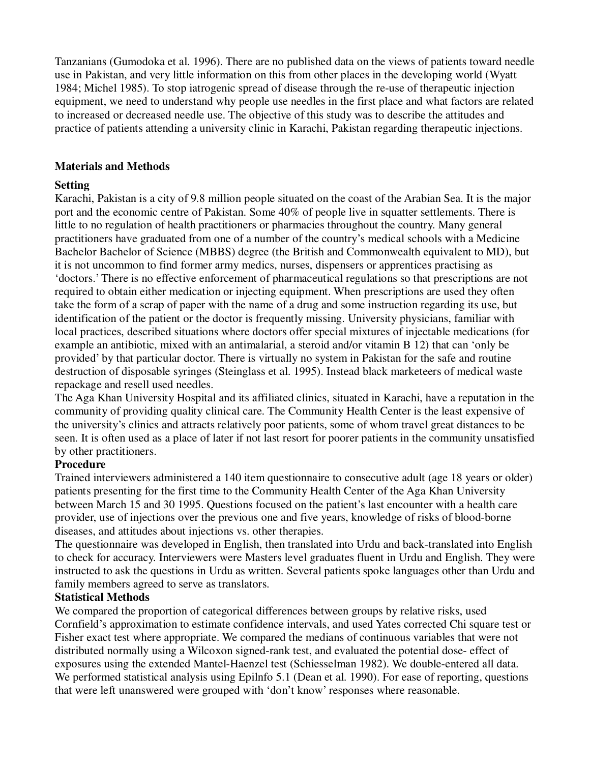Tanzanians (Gumodoka et al. 1996). There are no published data on the views of patients toward needle use in Pakistan, and very little information on this from other places in the developing world (Wyatt 1984; Michel 1985). To stop iatrogenic spread of disease through the re-use of therapeutic injection equipment, we need to understand why people use needles in the first place and what factors are related to increased or decreased needle use. The objective of this study was to describe the attitudes and practice of patients attending a university clinic in Karachi, Pakistan regarding therapeutic injections.

#### **Materials and Methods**

### **Setting**

Karachi, Pakistan is a city of 9.8 million people situated on the coast of the Arabian Sea. It is the major port and the economic centre of Pakistan. Some 40% of people live in squatter settlements. There is little to no regulation of health practitioners or pharmacies throughout the country. Many general practitioners have graduated from one of a number of the country's medical schools with a Medicine Bachelor Bachelor of Science (MBBS) degree (the British and Commonwealth equivalent to MD), but it is not uncommon to find former army medics, nurses, dispensers or apprentices practising as 'doctors.' There is no effective enforcement of pharmaceutical regulations so that prescriptions are not required to obtain either medication or injecting equipment. When prescriptions are used they often take the form of a scrap of paper with the name of a drug and some instruction regarding its use, but identification of the patient or the doctor is frequently missing. University physicians, familiar with local practices, described situations where doctors offer special mixtures of injectable medications (for example an antibiotic, mixed with an antimalarial, a steroid and/or vitamin B 12) that can 'only be provided' by that particular doctor. There is virtually no system in Pakistan for the safe and routine destruction of disposable syringes (Steinglass et al. 1995). Instead black marketeers of medical waste repackage and resell used needles.

The Aga Khan University Hospital and its affiliated clinics, situated in Karachi, have a reputation in the community of providing quality clinical care. The Community Health Center is the least expensive of the university's clinics and attracts relatively poor patients, some of whom travel great distances to be seen. It is often used as a place of later if not last resort for poorer patients in the community unsatisfied by other practitioners.

#### **Procedure**

Trained interviewers administered a 140 item questionnaire to consecutive adult (age 18 years or older) patients presenting for the first time to the Community Health Center of the Aga Khan University between March 15 and 30 1995. Questions focused on the patient's last encounter with a health care provider, use of injections over the previous one and five years, knowledge of risks of blood-borne diseases, and attitudes about injections vs. other therapies.

The questionnaire was developed in English, then translated into Urdu and back-translated into English to check for accuracy. Interviewers were Masters level graduates fluent in Urdu and English. They were instructed to ask the questions in Urdu as written. Several patients spoke languages other than Urdu and family members agreed to serve as translators.

## **Statistical Methods**

We compared the proportion of categorical differences between groups by relative risks, used Cornfield's approximation to estimate confidence intervals, and used Yates corrected Chi square test or Fisher exact test where appropriate. We compared the medians of continuous variables that were not distributed normally using a Wilcoxon signed-rank test, and evaluated the potential dose- effect of exposures using the extended Mantel-Haenzel test (Schiesselman 1982). We double-entered all data. We performed statistical analysis using Epilnfo 5.1 (Dean et al. 1990). For ease of reporting, questions that were left unanswered were grouped with 'don't know' responses where reasonable.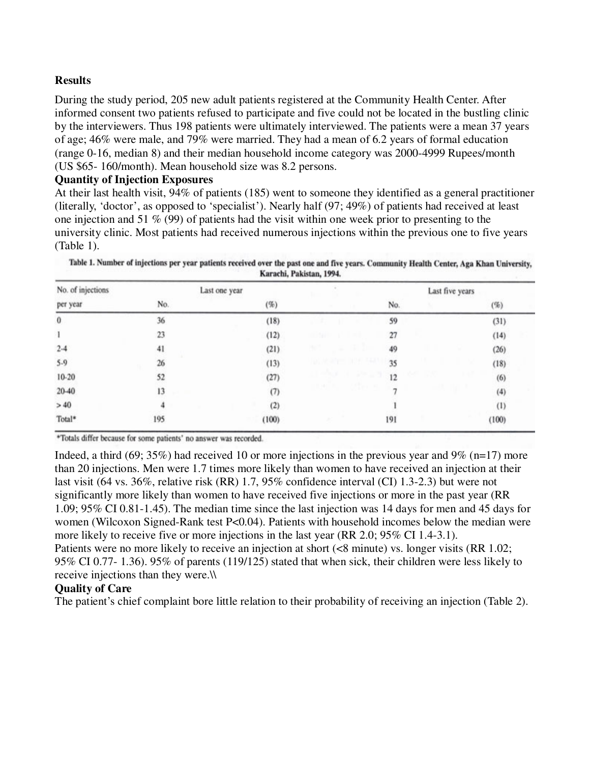#### **Results**

During the study period, 205 new adult patients registered at the Community Health Center. After informed consent two patients refused to participate and five could not be located in the bustling clinic by the interviewers. Thus 198 patients were ultimately interviewed. The patients were a mean 37 years of age; 46% were male, and 79% were married. They had a mean of 6.2 years of formal education (range 0-16, median 8) and their median household income category was 2000-4999 Rupees/month (US \$65- 160/month). Mean household size was 8.2 persons.

#### **Quantity of Injection Exposures**

At their last health visit, 94% of patients (185) went to someone they identified as a general practitioner (literally, 'doctor', as opposed to 'specialist'). Nearly half (97; 49%) of patients had received at least one injection and 51  $\%$  (99) of patients had the visit within one week prior to presenting to the university clinic. Most patients had received numerous injections within the previous one to five years (Table 1).

| No. of injections | Last one year |       |   |     | Last five years |  |
|-------------------|---------------|-------|---|-----|-----------------|--|
| per year          | No.           | (%)   |   | No. | (%)             |  |
| $\bf{0}$          | 36            | (18)  |   | 59  | (31)            |  |
|                   | 23            | (12)  | - | 27  | (14)            |  |
| $2 - 4$           | 41            | (21)  |   | 49  | (26)            |  |
| $5-9$             | 26            | (13)  |   | 35  | (18)            |  |
| 10-20             | 52            | (27)  |   | 12  | (6)             |  |
| 20-40             | 13            | (7)   |   |     | (4)             |  |
| >40               | 4             | (2)   |   |     | (1)             |  |
| Total*            | 195           | (100) |   | 191 | (100)           |  |

Table 1. Number of injections per year patients received over the past one and five years. Community Health Center, Aga Khan University, Karachi, Pakistan, 1994.

\*Totals differ because for some patients' no answer was recorded.

Indeed, a third (69; 35%) had received 10 or more injections in the previous year and 9% (n=17) more than 20 injections. Men were 1.7 times more likely than women to have received an injection at their last visit (64 vs. 36%, relative risk (RR) 1.7, 95% confidence interval (CI) 1.3-2.3) but were not significantly more likely than women to have received five injections or more in the past year (RR 1.09; 95% CI 0.81-1.45). The median time since the last injection was 14 days for men and 45 days for women (Wilcoxon Signed-Rank test P<0.04). Patients with household incomes below the median were more likely to receive five or more injections in the last year (RR 2.0; 95% CI 1.4-3.1). Patients were no more likely to receive an injection at short (<8 minute) vs. longer visits (RR 1.02; 95% CI 0.77- 1.36). 95% of parents (119/125) stated that when sick, their children were less likely to receive injections than they were.\\

#### **Quality of Care**

The patient's chief complaint bore little relation to their probability of receiving an injection (Table 2).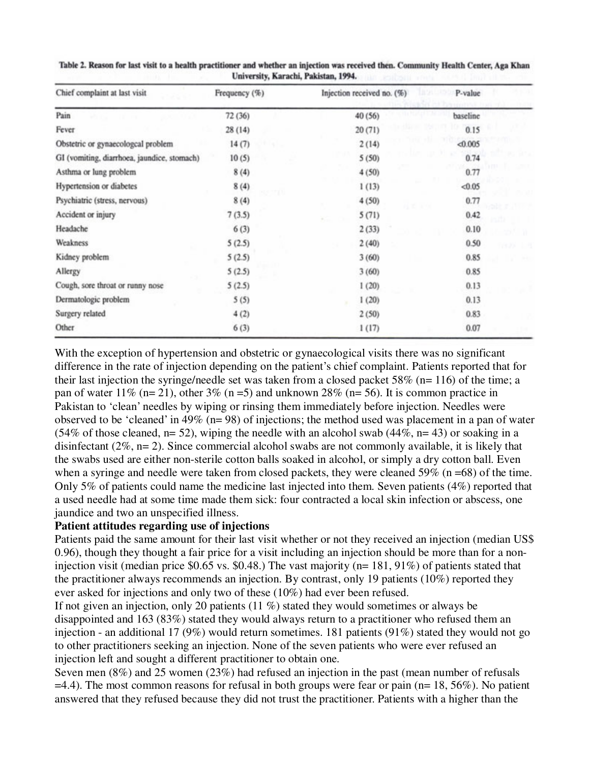| Chief complaint at last visit               | Frequency (%) | Injection received no. (%) | P-value  |  |
|---------------------------------------------|---------------|----------------------------|----------|--|
| Pain                                        | 72 (36)       | 40 (56)                    | baseline |  |
| Fever                                       | 28(14)        | 20(71)                     | 0.15     |  |
| Obstetric or gynaecologcal problem          | 14(7)         | 2(14)                      | < 0.005  |  |
| GI (vomiting, diarrhoea, jaundice, stomach) | 10(5)         | 5(50)                      | 0.74     |  |
| Asthma or lung problem                      | 8(4)          | 4(50)                      | 0.77     |  |
| Hypertension or diabetes                    | 8(4)          | 1(13)                      | < 0.05   |  |
| Psychiatric (stress, nervous)               | 8(4)          | 4(50)                      | 0.77     |  |
| Accident or injury                          | 7(3.5)        | 5(71)                      | 0.42     |  |
| Headache                                    | 6(3)          | 2(33)                      | 0.10     |  |
| Weakness                                    | 5(2.5)        | 2(40)                      | 0.50     |  |
| Kidney problem                              | 5(2.5)        | 3(60)                      | 0.85     |  |
| Allergy                                     | 5(2.5)        | 3(60)                      | 0.85     |  |
| Cough, sore throat or runny nose            | 5(2.5)        | 1(20)                      | 0.13     |  |
| Dermatologic problem                        | 5(5)          | 1(20)                      | 0.13     |  |
| Surgery related                             | 4(2)          | 2(50)                      | 0.83     |  |
| Other                                       | 6(3)          | 1(17)                      | 0.07     |  |

Table 2. Reason for last visit to a health practitioner and whether an injection was received then. Community Health Center, Aga Khan University, Karachi, Pakistan, 1994.

With the exception of hypertension and obstetric or gynaecological visits there was no significant difference in the rate of injection depending on the patient's chief complaint. Patients reported that for their last injection the syringe/needle set was taken from a closed packet 58% (n= 116) of the time; a pan of water 11% (n= 21), other 3% (n = 5) and unknown 28% (n= 56). It is common practice in Pakistan to 'clean' needles by wiping or rinsing them immediately before injection. Needles were observed to be 'cleaned' in 49% (n= 98) of injections; the method used was placement in a pan of water  $(54\% \text{ of those cleaned}, n=52)$ , wiping the needle with an alcohol swab  $(44\%, n=43)$  or soaking in a disinfectant (2%, n= 2). Since commercial alcohol swabs are not commonly available, it is likely that the swabs used are either non-sterile cotton balls soaked in alcohol, or simply a dry cotton ball. Even when a syringe and needle were taken from closed packets, they were cleaned  $59\%$  (n =68) of the time. Only 5% of patients could name the medicine last injected into them. Seven patients (4%) reported that a used needle had at some time made them sick: four contracted a local skin infection or abscess, one jaundice and two an unspecified illness.

#### **Patient attitudes regarding use of injections**

Patients paid the same amount for their last visit whether or not they received an injection (median US\$ 0.96), though they thought a fair price for a visit including an injection should be more than for a noninjection visit (median price \$0.65 vs. \$0.48.) The vast majority (n= 181, 91%) of patients stated that the practitioner always recommends an injection. By contrast, only 19 patients (10%) reported they ever asked for injections and only two of these (10%) had ever been refused.

If not given an injection, only 20 patients  $(11 \%)$  stated they would sometimes or always be disappointed and 163 (83%) stated they would always return to a practitioner who refused them an injection - an additional 17 (9%) would return sometimes. 181 patients (91%) stated they would not go to other practitioners seeking an injection. None of the seven patients who were ever refused an injection left and sought a different practitioner to obtain one.

Seven men (8%) and 25 women (23%) had refused an injection in the past (mean number of refusals  $=4.4$ ). The most common reasons for refusal in both groups were fear or pain (n= 18, 56%). No patient answered that they refused because they did not trust the practitioner. Patients with a higher than the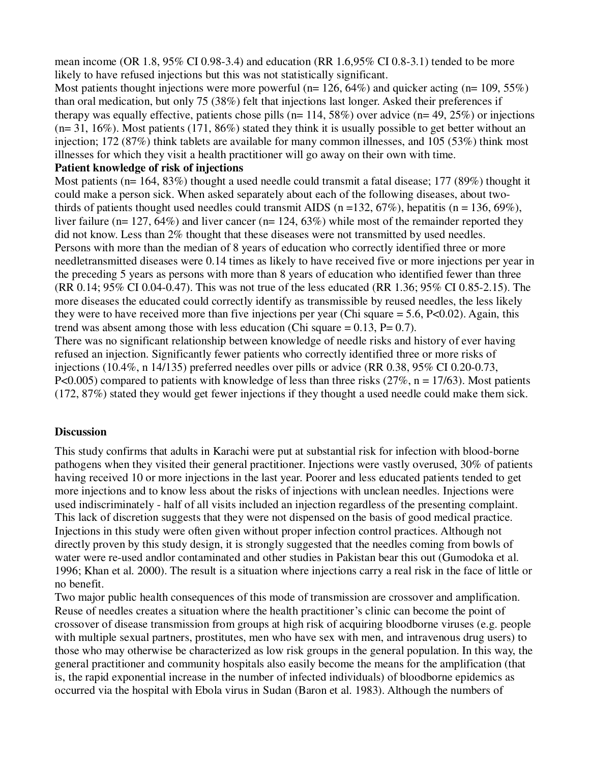mean income (OR 1.8, 95% CI 0.98-3.4) and education (RR  $1.6,95\%$  CI 0.8-3.1) tended to be more likely to have refused injections but this was not statistically significant.

Most patients thought injections were more powerful ( $n= 126, 64\%$ ) and quicker acting ( $n= 109, 55\%$ ) than oral medication, but only 75 (38%) felt that injections last longer. Asked their preferences if therapy was equally effective, patients chose pills ( $n= 114, 58\%$ ) over advice ( $n= 49, 25\%$ ) or injections  $(n=31, 16\%)$ . Most patients (171, 86%) stated they think it is usually possible to get better without an injection; 172 (87%) think tablets are available for many common illnesses, and 105 (53%) think most illnesses for which they visit a health practitioner will go away on their own with time.

#### **Patient knowledge of risk of injections**

Most patients (n= 164, 83%) thought a used needle could transmit a fatal disease; 177 (89%) thought it could make a person sick. When asked separately about each of the following diseases, about twothirds of patients thought used needles could transmit AIDS ( $n = 132, 67\%$ ), hepatitis ( $n = 136, 69\%$ ), liver failure (n= 127, 64%) and liver cancer (n= 124, 63%) while most of the remainder reported they did not know. Less than 2% thought that these diseases were not transmitted by used needles. Persons with more than the median of 8 years of education who correctly identified three or more needletransmitted diseases were 0.14 times as likely to have received five or more injections per year in the preceding 5 years as persons with more than 8 years of education who identified fewer than three (RR 0.14; 95% CI 0.04-0.47). This was not true of the less educated (RR 1.36; 95% CI 0.85-2.15). The more diseases the educated could correctly identify as transmissible by reused needles, the less likely they were to have received more than five injections per year (Chi square  $= 5.6$ , P<0.02). Again, this trend was absent among those with less education (Chi square  $= 0.13$ , P $= 0.7$ ).

There was no significant relationship between knowledge of needle risks and history of ever having refused an injection. Significantly fewer patients who correctly identified three or more risks of injections (10.4%, n 14/135) preferred needles over pills or advice (RR 0.38, 95% CI 0.20-0.73, P<0.005) compared to patients with knowledge of less than three risks ( $27\%$ , n = 17/63). Most patients (172, 87%) stated they would get fewer injections if they thought a used needle could make them sick.

#### **Discussion**

This study confirms that adults in Karachi were put at substantial risk for infection with blood-borne pathogens when they visited their general practitioner. Injections were vastly overused, 30% of patients having received 10 or more injections in the last year. Poorer and less educated patients tended to get more injections and to know less about the risks of injections with unclean needles. Injections were used indiscriminately - half of all visits included an injection regardless of the presenting complaint. This lack of discretion suggests that they were not dispensed on the basis of good medical practice. Injections in this study were often given without proper infection control practices. Although not directly proven by this study design, it is strongly suggested that the needles coming from bowls of water were re-used andlor contaminated and other studies in Pakistan bear this out (Gumodoka et al. 1996; Khan et al. 2000). The result is a situation where injections carry a real risk in the face of little or no benefit.

Two major public health consequences of this mode of transmission are crossover and amplification. Reuse of needles creates a situation where the health practitioner's clinic can become the point of crossover of disease transmission from groups at high risk of acquiring bloodborne viruses (e.g. people with multiple sexual partners, prostitutes, men who have sex with men, and intravenous drug users) to those who may otherwise be characterized as low risk groups in the general population. In this way, the general practitioner and community hospitals also easily become the means for the amplification (that is, the rapid exponential increase in the number of infected individuals) of bloodborne epidemics as occurred via the hospital with Ebola virus in Sudan (Baron et al. 1983). Although the numbers of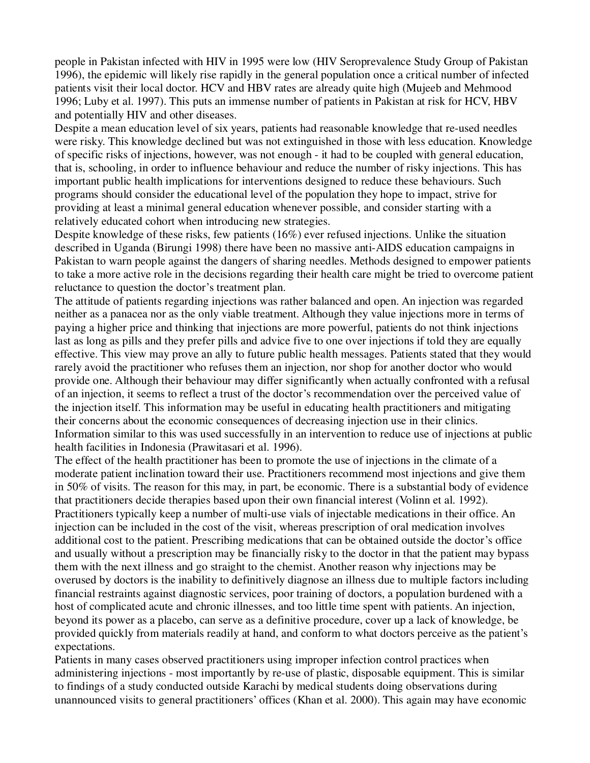people in Pakistan infected with HIV in 1995 were low (HIV Seroprevalence Study Group of Pakistan 1996), the epidemic will likely rise rapidly in the general population once a critical number of infected patients visit their local doctor. HCV and HBV rates are already quite high (Mujeeb and Mehmood 1996; Luby et al. 1997). This puts an immense number of patients in Pakistan at risk for HCV, HBV and potentially HIV and other diseases.

Despite a mean education level of six years, patients had reasonable knowledge that re-used needles were risky. This knowledge declined but was not extinguished in those with less education. Knowledge of specific risks of injections, however, was not enough - it had to be coupled with general education, that is, schooling, in order to influence behaviour and reduce the number of risky injections. This has important public health implications for interventions designed to reduce these behaviours. Such programs should consider the educational level of the population they hope to impact, strive for providing at least a minimal general education whenever possible, and consider starting with a relatively educated cohort when introducing new strategies.

Despite knowledge of these risks, few patients (16%) ever refused injections. Unlike the situation described in Uganda (Birungi 1998) there have been no massive anti-AIDS education campaigns in Pakistan to warn people against the dangers of sharing needles. Methods designed to empower patients to take a more active role in the decisions regarding their health care might be tried to overcome patient reluctance to question the doctor's treatment plan.

The attitude of patients regarding injections was rather balanced and open. An injection was regarded neither as a panacea nor as the only viable treatment. Although they value injections more in terms of paying a higher price and thinking that injections are more powerful, patients do not think injections last as long as pills and they prefer pills and advice five to one over injections if told they are equally effective. This view may prove an ally to future public health messages. Patients stated that they would rarely avoid the practitioner who refuses them an injection, nor shop for another doctor who would provide one. Although their behaviour may differ significantly when actually confronted with a refusal of an injection, it seems to reflect a trust of the doctor's recommendation over the perceived value of the injection itself. This information may be useful in educating health practitioners and mitigating their concerns about the economic consequences of decreasing injection use in their clinics. Information similar to this was used successfully in an intervention to reduce use of injections at public health facilities in Indonesia (Prawitasari et al. 1996).

The effect of the health practitioner has been to promote the use of injections in the climate of a moderate patient inclination toward their use. Practitioners recommend most injections and give them in 50% of visits. The reason for this may, in part, be economic. There is a substantial body of evidence that practitioners decide therapies based upon their own financial interest (Volinn et al. 1992). Practitioners typically keep a number of multi-use vials of injectable medications in their office. An injection can be included in the cost of the visit, whereas prescription of oral medication involves additional cost to the patient. Prescribing medications that can be obtained outside the doctor's office and usually without a prescription may be financially risky to the doctor in that the patient may bypass them with the next illness and go straight to the chemist. Another reason why injections may be overused by doctors is the inability to definitively diagnose an illness due to multiple factors including financial restraints against diagnostic services, poor training of doctors, a population burdened with a host of complicated acute and chronic illnesses, and too little time spent with patients. An injection, beyond its power as a placebo, can serve as a definitive procedure, cover up a lack of knowledge, be provided quickly from materials readily at hand, and conform to what doctors perceive as the patient's expectations.

Patients in many cases observed practitioners using improper infection control practices when administering injections - most importantly by re-use of plastic, disposable equipment. This is similar to findings of a study conducted outside Karachi by medical students doing observations during unannounced visits to general practitioners' offices (Khan et al. 2000). This again may have economic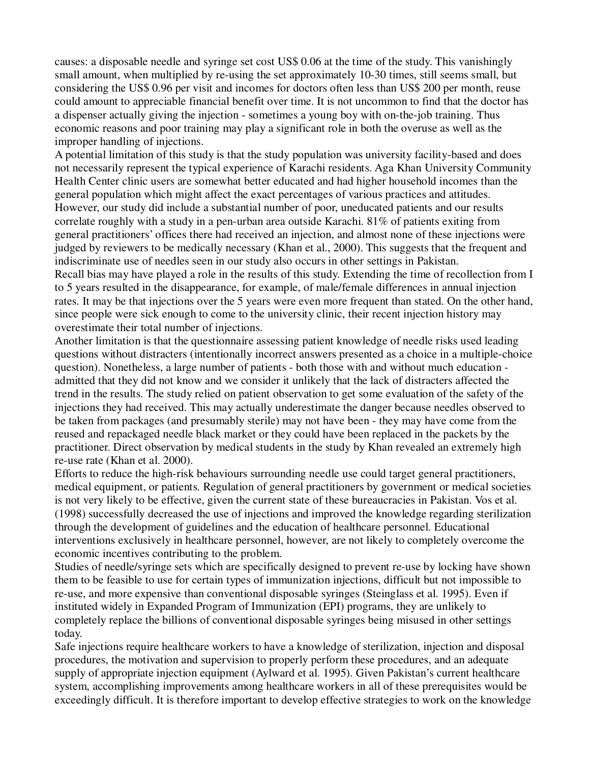causes: a disposable needle and syringe set cost US\$ 0.06 at the time of the study. This vanishingly small amount, when multiplied by re-using the set approximately 10-30 times, still seems small, but considering the US\$ 0.96 per visit and incomes for doctors often less than US\$ 200 per month, reuse could amount to appreciable financial benefit over time. It is not uncommon to find that the doctor has a dispenser actually giving the injection - sometimes a young boy with on-the-job training. Thus economic reasons and poor training may play a significant role in both the overuse as well as the improper handling of injections.

A potential limitation of this study is that the study population was university facility-based and does not necessarily represent the typical experience of Karachi residents. Aga Khan University Community Health Center clinic users are somewhat better educated and had higher household incomes than the general population which might affect the exact percentages of various practices and attitudes. However, our study did include a substantial number of poor, uneducated patients and our results correlate roughly with a study in a pen-urban area outside Karachi. 81% of patients exiting from general practitioners' offices there had received an injection, and almost none of these injections were judged by reviewers to be medically necessary (Khan et al., 2000). This suggests that the frequent and indiscriminate use of needles seen in our study also occurs in other settings in Pakistan. Recall bias may have played a role in the results of this study. Extending the time of recollection from I

to 5 years resulted in the disappearance, for example, of male/female differences in annual injection rates. It may be that injections over the 5 years were even more frequent than stated. On the other hand, since people were sick enough to come to the university clinic, their recent injection history may overestimate their total number of injections.

Another limitation is that the questionnaire assessing patient knowledge of needle risks used leading questions without distracters (intentionally incorrect answers presented as a choice in a multiple-choice question). Nonetheless, a large number of patients - both those with and without much education admitted that they did not know and we consider it unlikely that the lack of distracters affected the trend in the results. The study relied on patient observation to get some evaluation of the safety of the injections they had received. This may actually underestimate the danger because needles observed to be taken from packages (and presumably sterile) may not have been - they may have come from the reused and repackaged needle black market or they could have been replaced in the packets by the practitioner. Direct observation by medical students in the study by Khan revealed an extremely high re-use rate (Khan et al. 2000).

Efforts to reduce the high-risk behaviours surrounding needle use could target general practitioners, medical equipment, or patients. Regulation of general practitioners by government or medical societies is not very likely to be effective, given the current state of these bureaucracies in Pakistan. Vos et al. (1998) successfully decreased the use of injections and improved the knowledge regarding sterilization through the development of guidelines and the education of healthcare personnel. Educational interventions exclusively in healthcare personnel, however, are not likely to completely overcome the economic incentives contributing to the problem.

Studies of needle/syringe sets which are specifically designed to prevent re-use by locking have shown them to be feasible to use for certain types of immunization injections, difficult but not impossible to re-use, and more expensive than conventional disposable syringes (Steinglass et al. 1995). Even if instituted widely in Expanded Program of Immunization (EPI) programs, they are unlikely to completely replace the billions of conventional disposable syringes being misused in other settings today.

Safe injections require healthcare workers to have a knowledge of sterilization, injection and disposal procedures, the motivation and supervision to properly perform these procedures, and an adequate supply of appropriate injection equipment (Aylward et al. 1995). Given Pakistan's current healthcare system, accomplishing improvements among healthcare workers in all of these prerequisites would be exceedingly difficult. It is therefore important to develop effective strategies to work on the knowledge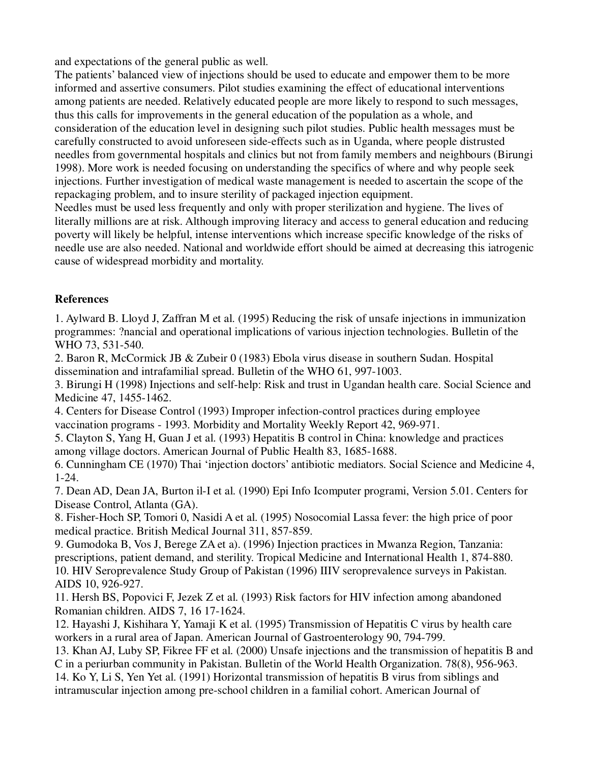and expectations of the general public as well.

The patients' balanced view of injections should be used to educate and empower them to be more informed and assertive consumers. Pilot studies examining the effect of educational interventions among patients are needed. Relatively educated people are more likely to respond to such messages, thus this calls for improvements in the general education of the population as a whole, and consideration of the education level in designing such pilot studies. Public health messages must be carefully constructed to avoid unforeseen side-effects such as in Uganda, where people distrusted needles from governmental hospitals and clinics but not from family members and neighbours (Birungi 1998). More work is needed focusing on understanding the specifics of where and why people seek injections. Further investigation of medical waste management is needed to ascertain the scope of the repackaging problem, and to insure sterility of packaged injection equipment.

Needles must be used less frequently and only with proper sterilization and hygiene. The lives of literally millions are at risk. Although improving literacy and access to general education and reducing poverty will likely be helpful, intense interventions which increase specific knowledge of the risks of needle use are also needed. National and worldwide effort should be aimed at decreasing this iatrogenic cause of widespread morbidity and mortality.

## **References**

1. Aylward B. Lloyd J, Zaffran M et al. (1995) Reducing the risk of unsafe injections in immunization programmes: ?nancial and operational implications of various injection technologies. Bulletin of the WHO 73, 531-540.

2. Baron R, McCormick JB & Zubeir 0 (1983) Ebola virus disease in southern Sudan. Hospital dissemination and intrafamilial spread. Bulletin of the WHO 61, 997-1003.

3. Birungi H (1998) Injections and self-help: Risk and trust in Ugandan health care. Social Science and Medicine 47, 1455-1462.

4. Centers for Disease Control (1993) Improper infection-control practices during employee vaccination programs - 1993. Morbidity and Mortality Weekly Report 42, 969-971.

5. Clayton S, Yang H, Guan J et al. (1993) Hepatitis B control in China: knowledge and practices among village doctors. American Journal of Public Health 83, 1685-1688.

6. Cunningham CE (1970) Thai 'injection doctors' antibiotic mediators. Social Science and Medicine 4, 1-24.

7. Dean AD, Dean JA, Burton il-I et al. (1990) Epi Info Icomputer programi, Version 5.01. Centers for Disease Control, Atlanta (GA).

8. Fisher-Hoch SP, Tomori 0, Nasidi A et al. (1995) Nosocomial Lassa fever: the high price of poor medical practice. British Medical Journal 311, 857-859.

9. Gumodoka B, Vos J, Berege ZA et a). (1996) Injection practices in Mwanza Region, Tanzania: prescriptions, patient demand, and sterility. Tropical Medicine and International Health 1, 874-880. 10. HIV Seroprevalence Study Group of Pakistan (1996) IIIV seroprevalence surveys in Pakistan. AIDS 10, 926-927.

11. Hersh BS, Popovici F, Jezek Z et al. (1993) Risk factors for HIV infection among abandoned Romanian children. AIDS 7, 16 17-1624.

12. Hayashi J, Kishihara Y, Yamaji K et al. (1995) Transmission of Hepatitis C virus by health care workers in a rural area of Japan. American Journal of Gastroenterology 90, 794-799.

13. Khan AJ, Luby SP, Fikree FF et al. (2000) Unsafe injections and the transmission of hepatitis B and C in a periurban community in Pakistan. Bulletin of the World Health Organization. 78(8), 956-963. 14. Ko Y, Li S, Yen Yet al. (1991) Horizontal transmission of hepatitis B virus from siblings and intramuscular injection among pre-school children in a familial cohort. American Journal of